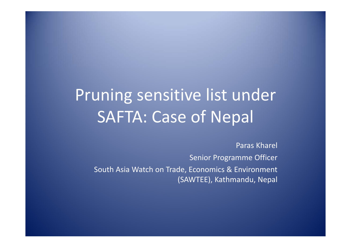# Pruning sensitive list under SAFTA: Case of Nepal

Paras Kharel Senior Programme Officer South Asia Watch on Trade, Economics & Environment (SAWTEE), Kathmandu, Nepal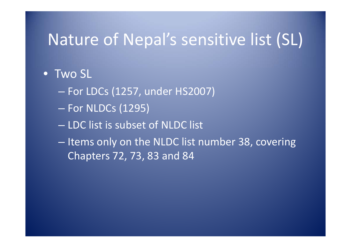#### Nature of Nepal's sensitive list (SL)

#### •Two SL

- For LDCs (1257, under HS2007)
- –— For NLDCs (1295)
- LDC list is subset of NLDC list
- Items only on the NLDC list number 38, covering Chapters 72, 73, 83 and 84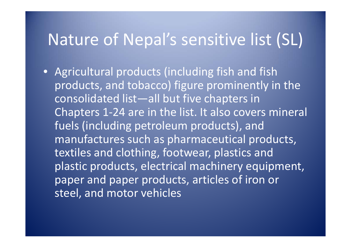#### Nature of Nepal's sensitive list (SL)

• Agricultural products (including fish and fish products, and tobacco) figure prominently in the consolidated list—all but five chapters in Chapters 1‐24 are in the list. It also covers mineral fuels (including petroleum products), and manufactures such as pharmaceutical products, textiles and clothing, footwear, plastics and plastic products, electrical machinery equipment, paper and paper products, articles of iron or steel, and motor vehicles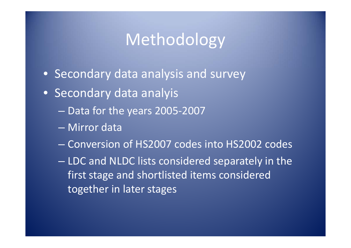### Methodology

- Secondary data analysis and survey
- Secondary data analyis
	- Data for the years 2005‐2007
	- Mirror data
	- Conversion of HS2007 codes into HS2002 codes
	- – LDC and NLDC lists considered separately in the first stage and shortlisted items considered together in later stages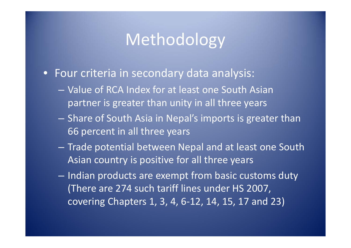### Methodology

- Four criteria in secondary data analysis:
	- Value of RCA Index for at least one South Asian partner is greater than unity in all three years
	- $-$  Share of South Asia in Nepal's imports is greater than 66 percent in all three years
	- – Trade potential between Nepal and at least one South Asian country is positive for all three years
	- – $-$  Indian products are exempt from basic customs duty (There are 274 such tariff lines under HS 2007, covering Chapters 1, 3, 4, 6‐12, 14, 15, 17 and 23)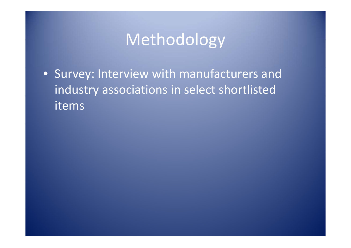## Methodology

• Survey: Interview with manufacturers and industry associations in select shortlisted items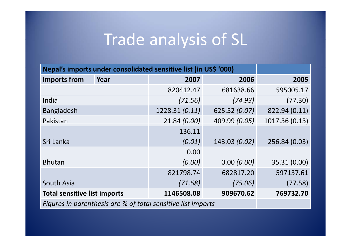#### Trade analysis of SL

| Nepal's imports under consolidated sensitive list (in US\$ '000) |      |               |               |                |  |
|------------------------------------------------------------------|------|---------------|---------------|----------------|--|
| <b>Imports from</b>                                              | Year | 2007          | 2006          | 2005           |  |
|                                                                  |      | 820412.47     | 681638.66     | 595005.17      |  |
| India                                                            |      | (71.56)       | (74.93)       | (77.30)        |  |
| <b>Bangladesh</b>                                                |      | 1228.31(0.11) | 625.52 (0.07) | 822.94 (0.11)  |  |
| Pakistan                                                         |      | 21.84 (0.00)  | 409.99 (0.05) | 1017.36 (0.13) |  |
|                                                                  |      | 136.11        |               |                |  |
| Sri Lanka                                                        |      | (0.01)        | 143.03 (0.02) | 256.84 (0.03)  |  |
|                                                                  |      | 0.00          |               |                |  |
| <b>Bhutan</b>                                                    |      | (0.00)        | 0.00(0.00)    | 35.31 (0.00)   |  |
|                                                                  |      | 821798.74     | 682817.20     | 597137.61      |  |
| South Asia                                                       |      | (71.68)       | (75.06)       | (77.58)        |  |
| <b>Total sensitive list imports</b>                              |      | 1146508.08    | 909670.62     | 769732.70      |  |
| Figures in parenthesis are % of total sensitive list imports     |      |               |               |                |  |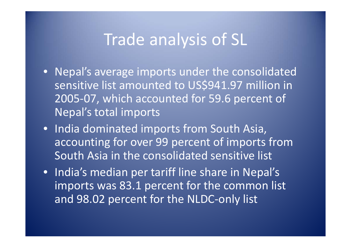#### Trade analysis of SL

- Nepal's average imports under the consolidated sensitive list amounted to US\$941.97 million in 2005-07, which accounted for 59.6 percent of Nepal's total imports
- India dominated imports from South Asia, accounting for over 99 percent of imports from South Asia in the consolidated sensitive list
- India's median per tariff line share in Nepal's imports was 83.1 percent for the common list and 98.02 percent for the NLDC‐only list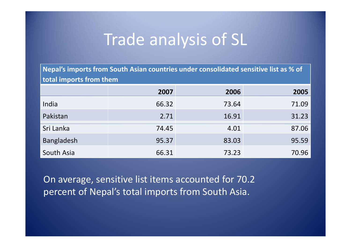#### Trade analysis of SL

Nepal's imports from South Asian countries under consolidated sensitive list as % of **total imports from them**

|                   | 2007  | 2006  | 2005  |
|-------------------|-------|-------|-------|
| India             | 66.32 | 73.64 | 71.09 |
| Pakistan          | 2.71  | 16.91 | 31.23 |
| Sri Lanka         | 74.45 | 4.01  | 87.06 |
| <b>Bangladesh</b> | 95.37 | 83.03 | 95.59 |
| South Asia        | 66.31 | 73.23 | 70.96 |

On average, sensitive list items accounted for 70.2 percent of Nepal's total imports from South Asia.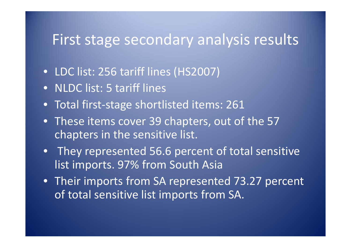#### First stage secondary analysis results

- LDC list: 256 tariff lines (HS2007)
- NLDC list: 5 tariff lines
- Total first‐stage shortlisted items: 261
- These items cover 39 chapters, out of the 57 chapters in the sensitive list.
- They represented 56.6 percent of total sensitive list imports. 97% from South Asia
- Their imports from SA represented 73.27 percent of total sensitive list imports from SA.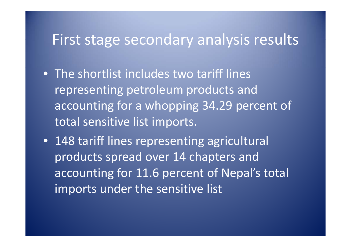#### First stage secondary analysis results

- The shortlist includes two tariff lines representing petroleum products and accounting for <sup>a</sup> whopping 34.29 percent of total sensitive list imports.
- 148 tariff lines representing agricultural products spread over 14 chapters and accounting for 11.6 percent of Nepal's total imports under the sensitive list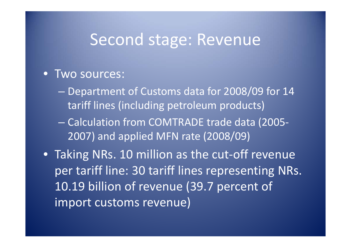#### Second stage: Revenue

#### • Two sources:

- Department of Customs data for 2008/09 for 14 tariff lines (including petroleum products)
- Calculation from COMTRADE trade data (2005‐ 2007) and applied MFN rate (2008/09)
- Taking NRs. 10 million as the cut-off revenue per tariff line: 30 tariff lines representing NRs. 10.19 billion of revenue (39.7 percent of import customs revenue)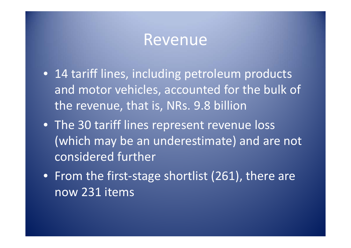#### Revenue

- 14 tariff lines, including petroleum products and motor vehicles, accounted for the bulk of the revenue, that is, NRs. 9.8 billion
- The 30 tariff lines represent revenue loss (which may be an underestimate) and are not considered further
- From the first‐stage shortlist (261), there are now 231 items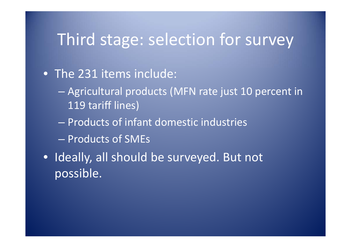#### • The 231 items include:

- Agricultural products (MFN rate just 10 percent in 119 tariff lines)
- Products of infant domestic industries
- Products of SMEs
- Ideally, all should be surveyed. But not possible.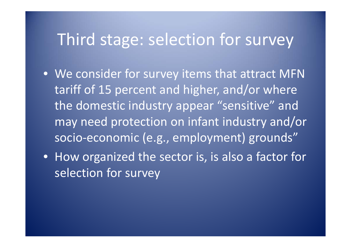- We consider for survey items that attract MFN tariff of 15 percent and higher, and/or where the domestic industry appear "sensitive" and may need protection on infant industry and/or socio‐economic (e.g., employment) grounds"
- How organized the sector is, is also <sup>a</sup> factor for selection for survey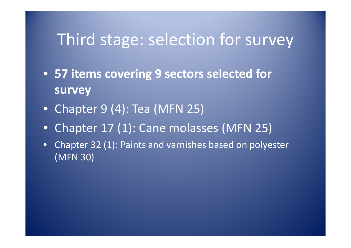- **57 items covering 9 sectors selected for survey**
- Chapter 9 (4): Tea (MFN 25)
- Chapter 17 (1): Cane molasses (MFN 25)
- • Chapter 32 (1): Paints and varnishes based on polyester (MFN 30)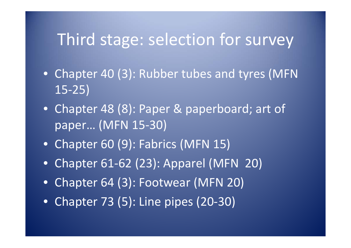- Chapter 40 (3): Rubber tubes and tyres (MFN 15‐25)
- Chapter 48 (8): Paper & paperboard; art of paper… (MFN 15‐30)
- Chapter 60 (9): Fabrics (MFN 15)
- Chapter 61‐62 (23): Apparel (MFN 20)
- Chapter 64 (3): Footwear (MFN 20)
- Chapter 73 (5): Line pipes (20‐30)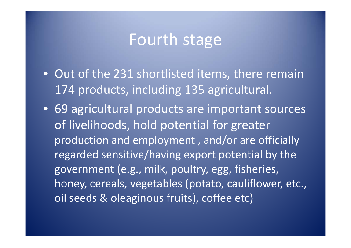#### Fourth stage

- Out of the 231 shortlisted items, there remain 174 products, including 135 agricultural.
- 69 agricultural products are important sources of livelihoods, hold potential for greater production and employment , and/or are officially regarded sensitive/having export potential by the government (e.g., milk, poultry, egg, fisheries, honey, cereals, vegetables (potato, cauliflower, etc., oil seeds & oleaginous fruits), coffee etc)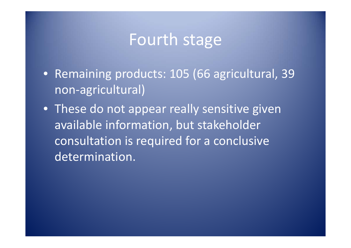#### Fourth stage

- Remaining products: 105 (66 agricultural, 39 non-agricultural)
- These do not appear really sensitive given available information, but stakeholder consultation is required for <sup>a</sup> conclusive determination.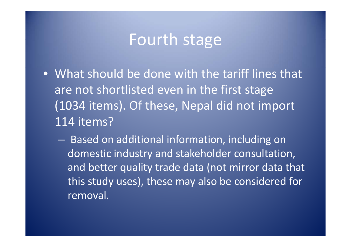#### Fourth stage

- What should be done with the tariff lines that are not shortlisted even in the first stage (1034 items). Of these, Nepal did not import 114 items?
	- – Based on additional information, including on domestic industry and stakeholder consultation, and better quality trade data (not mirror data that this study uses), these may also be considered for removal.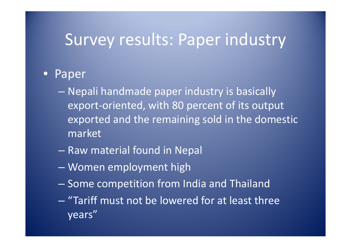#### Survey results: Paper industry

#### •**Paper**

- Nepali handmade paper industry is basically export‐oriented, with 80 percent of its output exported and the remaining sold in the domestic market
- Raw material found in Nepal
- –Women employment high
- –– Some competition from India and Thailand
- "Tariff must not be lowered for at least three years"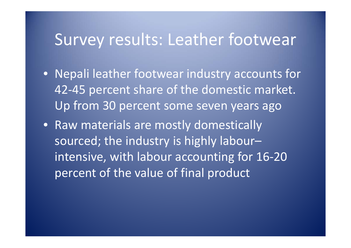#### Survey results: Leather footwear

- Nepali leather footwear industry accounts for 42‐45 percent share of the domestic market. Up from 30 percent some seven years ago
- Raw materials are mostly domestically sourced; the industry is highly labour– intensive, with labour accounting for 16-20 percent of the value of final product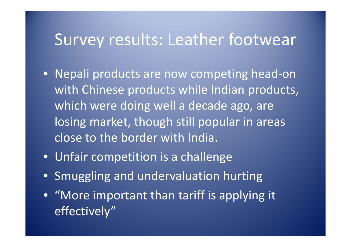#### Survey results: Leather footwear

- Nepali products are now competing head‐on with Chinese products while Indian products, which were doing well <sup>a</sup> decade ago, are losing market, though still popular in areas close to the border with India.
- Unfair competition is a challenge
- Smuggling and undervaluation hurting
- "More important than tariff is applying it effectively"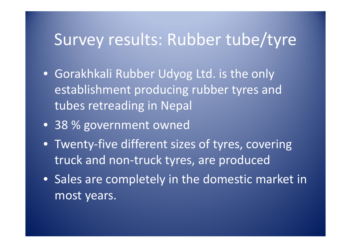- Gorakhkali Rubber Udyog Ltd. is the only establishment producing rubber tyres and tubes retreading in Nepal
- 38 % government owned
- Twenty‐five different sizes of tyres, covering truck and non‐truck tyres, are produced
- Sales are completely in the domestic market in most years.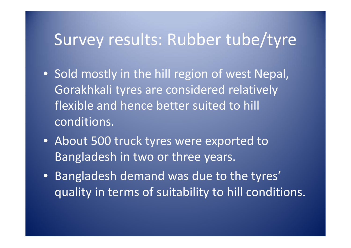- Sold mostly in the hill region of west Nepal, Gorakhkali tyres are considered relatively flexible and hence better suited to hill conditions.
- About 500 truck tyres were exported to Bangladesh in two or three years.
- Bangladesh demand was due to the tyres' quality in terms of suitability to hill conditions.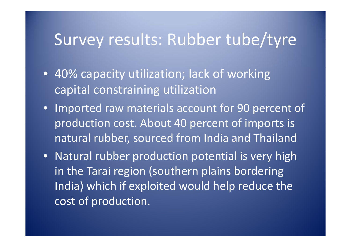- 40% capacity utilization; lack of working capital constraining utilization
- Imported raw materials account for 90 percent of production cost. About 40 percent of imports is natural rubber, sourced from India and Thailand
- Natural rubber production potential is very high in the Tarai region (southern plains bordering India) which if exploited would help reduce the cost of production.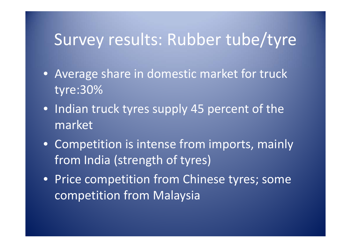- Average share in domestic market for truck tyre:30%
- Indian truck tyres supply 45 percent of the market
- Competition is intense from imports, mainly from India (strength of tyres)
- Price competition from Chinese tyres; some competition from Malaysia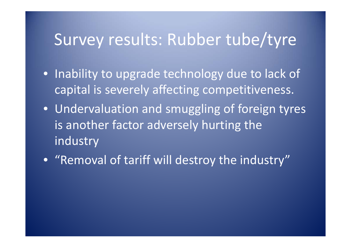- Inability to upgrade technology due to lack of capital is severely affecting competitiveness.
- Undervaluation and smuggling of foreign tyres is another factor adversely hurting the industry
- "Removal of tariff will destroy the industry"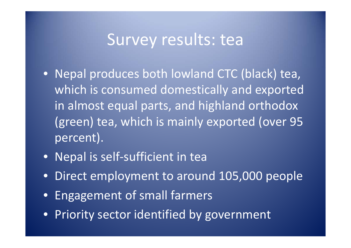- Nepal produces both lowland CTC (black) tea, which is consumed domestically and exported in almost equal parts, and highland orthodox (green) tea, which is mainly exported (over 95 percent).
- Nepal is self-sufficient in tea
- Direct employment to around 105,000 people
- Engagement of small farmers
- Priority sector identified by government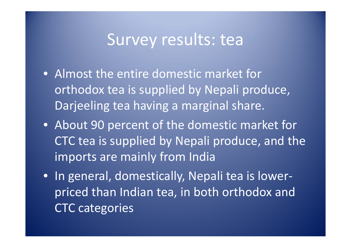- Almost the entire domestic market for orthodox tea is supplied by Nepali produce, Darjeeling tea having <sup>a</sup> marginal share.
- About 90 percent of the domestic market for CTC tea is supplied by Nepali produce, and the imports are mainly from India
- In general, domestically, Nepali tea is lower‐ priced than Indian tea, in both orthodox and CTC categories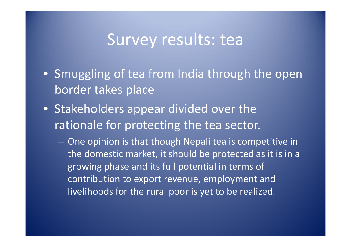- Smuggling of tea from India through the open border takes place
- Stakeholders appear divided over the rationale for protecting the tea sector.
	- One opinion is that though Nepali tea is competitive in the domestic market, it should be protected as it is in a growing phase and its full potential in terms of contribution to export revenue, employment and livelihoods for the rural poor is yet to be realized.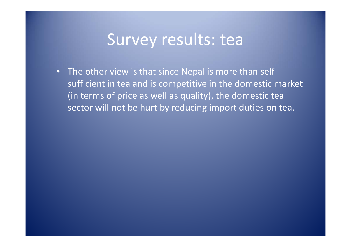• The other view is that since Nepal is more than self‐ sufficient in tea and is competitive in the domestic market (in terms of price as well as quality), the domestic tea sector will not be hurt by reducing import duties on tea.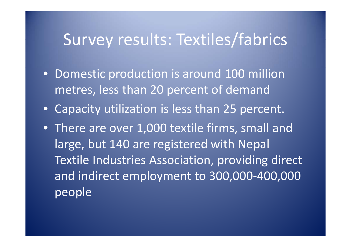- Domestic production is around 100 million metres, less than 20 percent of demand
- Capacity utilization is less than 25 percent.
- There are over 1,000 textile firms, small and large, but 140 are registered with Nepal Textile Industries Association, providing direct and indirect employment to 300,000 ‐400,000 people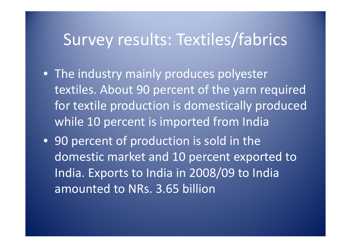- The industry mainly produces polyester textiles. About 90 percent of the yarn required for textile production is domestically produced while 10 percent is imported from India
- 90 percent of production is sold in the domestic market and 10 percent exported to India. Exports to India in 2008/09 to India amounted to NRs. 3.65 billion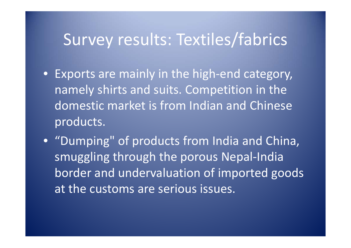- Exports are mainly in the high‐end category, namely shirts and suits. Competition in the domestic market is from Indian and Chinese products.
- "Dumping" of products from India and China, smuggling through the porous Nepal-India border and undervaluation of imported goods at the customs are serious issues.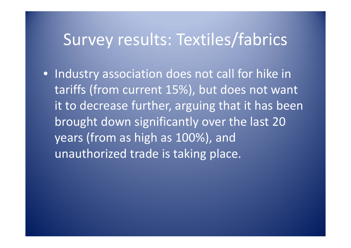• Industry association does not call for hike in tariffs (from current 15%), but does not want it to decrease further, arguing that it has been brought down significantly over the last 20 years (from as high as 100%), and unauthorized trade is taking place.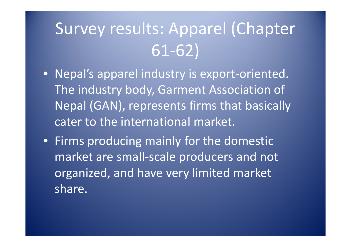# Survey results: Apparel (Chapter 61‐62)

- Nepal's apparel industry is export‐oriented. The industry body, Garment Association of Nepal (GAN), represents firms that basically cater to the international market.
- Firms producing mainly for the domestic market are small‐scale producers and not organized, and have very limited market share.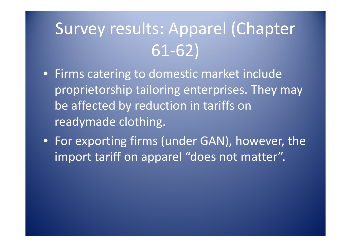# Survey results: Apparel (Chapter 61‐62)

- Firms catering to domestic market include proprietorship tailoring enterprises. They may be affected by reduction in tariffs on readymade clothing.
- For exporting firms (under GAN), however, the import tariff on apparel "does not matter".